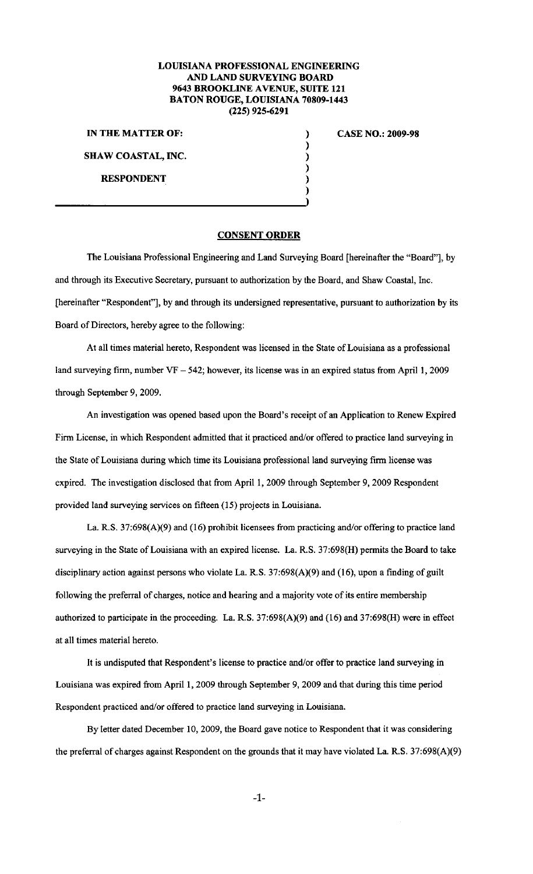## LOUISIANA PROFESSIONAL ENGINEERING AND LAND SURVEYING BOARD 9643 BROOKLINE AVENUE, SUITE 121 BATON ROUGE, LOUISIANA 70809-1443 (225) 925-6291

) ) ) ) ) )

IN THE MATTER OF:

SHAW COASTAL, INC.

RESPONDENT

## CASE NO.: 2009-98

## CONSENT ORDER

The Louisiana Professional Engineering and Land Surveying Board [hereinafter the "Board"], by and through its Executive Secretary, pursuant to authorization by the Board, and Shaw Coastal, lnc. [hereinafter "Respondent"], by and through its undersigned representative, pursuant to authorization by its Board of Directors, hereby agree to the following:

At all times material hereto, Respondent was licensed in the State of Louisiana as a professional land surveying firm, number  $VF - 542$ ; however, its license was in an expired status from April 1, 2009 through September 9, 2009.

An investigation was opened based upon the Board's receipt of an Application to Renew Expired Firm License, in which Respondent admitted that it practiced and/or offered to practice land surveying in the State of Louisiana during which time its Louisiana professional land surveying firm license was expired. The investigation disclosed that from April 1, 2009 through September 9, 2009 Respondent provided land surveying services on fifteen (15) projects in Louisiana.

La. R.S. 37:698(A)(9) and (16) prohibit licensees from practicing and/or offering to practice land surveying in the State of Louisiana with an expired license. La. R.S. 37:698(H) permits the Board to take disciplinary action against persons who violate La. R.S. 37:698(A)(9) and (16), upon a finding of guilt following the preferral of charges, notice and hearing and a majority vote of its entire membership authorized to participate in the proceeding. La. R.S. 37:698(A)(9) and (16) and 37:698(H) were in effect at all times material hereto.

It is undisputed that Respondent's license to practice and/or offer to practice land surveying in Louisiana was expired from April 1, 2009 through September 9, 2009 and that during this time period Respondent practiced and/or offered to practice land surveying in Louisiana.

By letter dated December 10, 2009, the Board gave notice to Respondent that it was considering the preferral of charges against Respondent on the grounds that it may have violated La. R.S. 37:698(A)(9)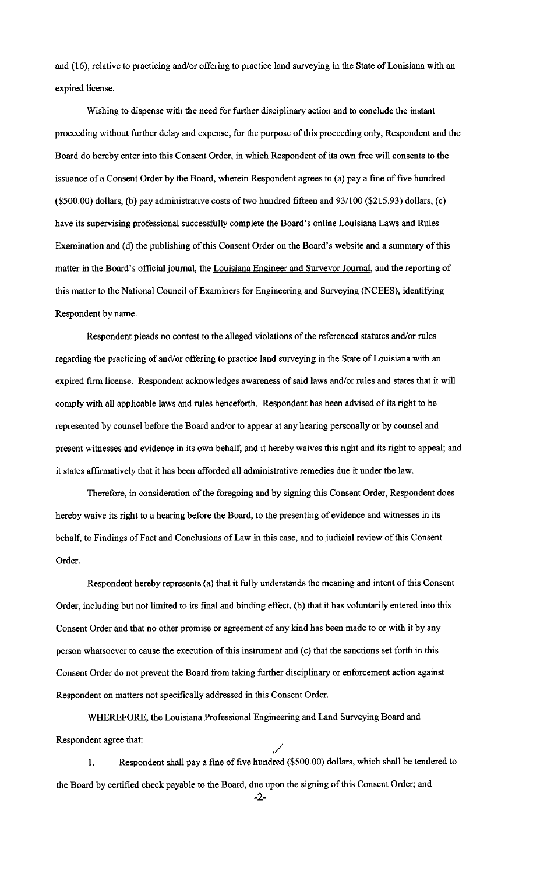and (16), relative to practicing and/or offering to practice land surveying in the State of Louisiana with an expired license.

Wishing to dispense with the need for further disciplinary action and to conclude the instant proceeding without further delay and expense, for the purpose of this proceeding only, Respondent and the Board do hereby enter into this Consent Order, in which Respondent of its own free will consents to the issuance of a Consent Order by the Board, wherein Respondent agrees to (a) pay a fine of five hundred (\$500.00) dollars, (b) pay administrative costs of two hundred fifteen and 93/100 (\$215.93) dollars, (c) have its supervising professional successfully complete the Board's online Louisiana Laws and Rules Examination and (d) the publishing of this Consent Order on the Board's website and a summary of this matter in the Board's official journal, the Louisiana Engineer and Surveyor Journal, and the reporting of this matter to the National Council of Examiners for Engineering and Surveying (NCEES), identifying Respondent by name.

Respondent pleads no contest to the alleged violations of the referenced statutes and/or rules regarding the practicing of and/or offering to practice land surveying in the State of Louisiana with an expired firm license. Respondent acknowledges awareness of said laws and/or rules and states that it will comply with all applicable laws and rules henceforth. Respondent has been advised of its right to be represented by counsel before the Board and/or to appear at any hearing personally or by counsel and present witnesses and evidence in its own behalf, and it hereby waives this right and its right to appeal; and it states affirmatively that it has been afforded all administrative remedies due it under the law.

Therefore, in consideration of the foregoing and by signing this Consent Order, Respondent does hereby waive its right to a hearing before the Board, to the presenting of evidence and witnesses in its behalf, to Findings of Fact and Conclusions of Law in this case, and to judicial review of this Consent Order.

Respondent hereby represents (a) that it fully understands the meaning and intent of this Consent Order, including but not limited to its final and binding effect, (b) that it has voluntarily entered into this Consent Order and that no other promise or agreement of any kind has been made to or with it by any person whatsoever to cause the execution of this instrument and (c) that the sanctions set forth in this Consent Order do not prevent the Board from taking further disciplinary or enforcement action against Respondent on matters not specifically addressed in this Consent Order.

WHEREFORE, the Louisiana Professional Engineering and Land Surveying Board and Respondent agree that: /

I. Respondent shall pay a fine of five hundred (\$500.00) dollars, which shall be tendered to the Board by certified check payable to the Board, due upon the signing of this Consent Order; and -2-